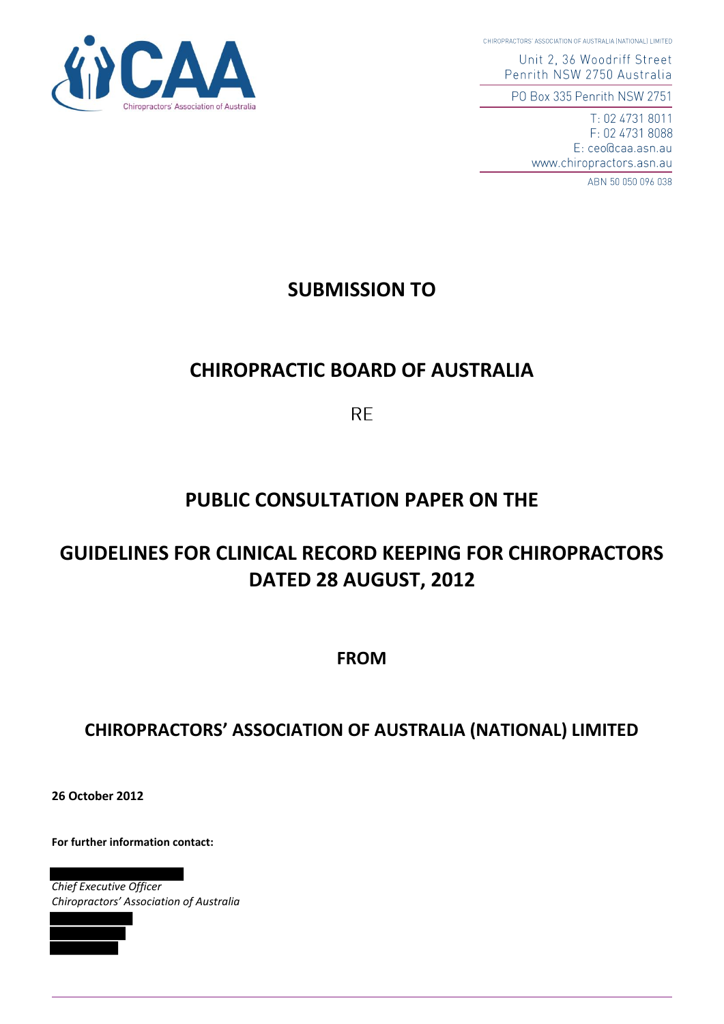CHIROPRACTORS' ASSOCIATION OF AUSTRALIA (NATIONAL) LIMITED

Unit 2, 36 Woodriff Street Penrith NSW 2750 Australia

PO Box 335 Penrith NSW 2751

T: 02 4731 8011 F: 02 4731 8088 E: ceo@caa.asn.au www.chiropractors.asn.au

ABN 50 050 096 038



# **CHIROPRACTIC BOARD OF AUSTRALIA**

**RE** 

# **PUBLIC CONSULTATION PAPER ON THE**

# **GUIDELINES FOR CLINICAL RECORD KEEPING FOR CHIROPRACTORS DATED 28 AUGUST, 2012**

**FROM**

# **CHIROPRACTORS' ASSOCIATION OF AUSTRALIA (NATIONAL) LIMITED**

**26 October 2012** 

**For further information contact:** 

*Chief Executive Officer Chiropractors' Association of Australia*



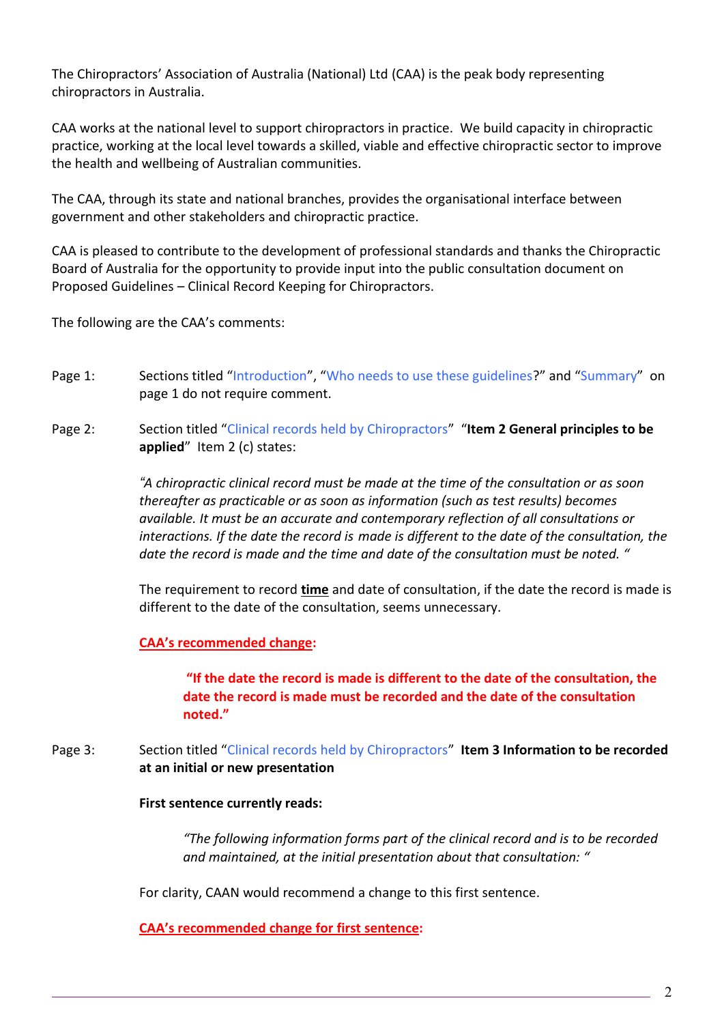The Chiropractors' Association of Australia (National) Ltd (CAA) is the peak body representing chiropractors in Australia.

CAA works at the national level to support chiropractors in practice. We build capacity in chiropractic practice, working at the local level towards a skilled, viable and effective chiropractic sector to improve the health and wellbeing of Australian communities.

The CAA, through its state and national branches, provides the organisational interface between government and other stakeholders and chiropractic practice.

CAA is pleased to contribute to the development of professional standards and thanks the Chiropractic Board of Australia for the opportunity to provide input into the public consultation document on Proposed Guidelines – Clinical Record Keeping for Chiropractors.

The following are the CAA's comments:

- Page 1: Sections titled "Introduction", "Who needs to use these guidelines?" and "Summary" on page 1 do not require comment.
- Page 2: Section titled "Clinical records held by Chiropractors" "**Item 2 General principles to be applied**" Item 2 (c) states:

 *"A chiropractic clinical record must be made at the time of the consultation or as soon thereafter as practicable or as soon as information (such as test results) becomes available. It must be an accurate and contemporary reflection of all consultations or interactions. If the date the record is made is different to the date of the consultation, the date the record is made and the time and date of the consultation must be noted. "*

 The requirement to record **time** and date of consultation, if the date the record is made is different to the date of the consultation, seems unnecessary.

**CAA's recommended change:** 

 **"If the date the record is made is different to the date of the consultation, the date the record is made must be recorded and the date of the consultation noted."**

Page 3: Section titled "Clinical records held by Chiropractors" Item 3 Information to be recorded **at an initial or new presentation**

#### **First sentence currently reads:**

*"The following information forms part of the clinical record and is to be recorded and maintained, at the initial presentation about that consultation: "*

For clarity, CAAN would recommend a change to this first sentence.

**CAA's recommended change for first sentence:**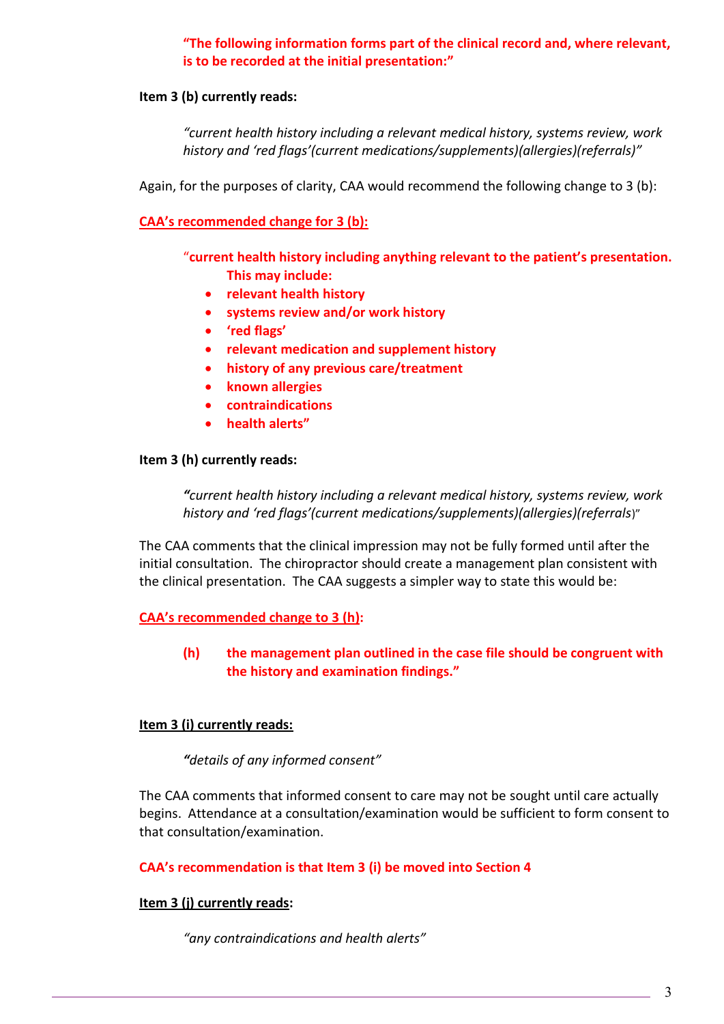# **"The following information forms part of the clinical record and, where relevant, is to be recorded at the initial presentation:"**

### **Item 3 (b) currently reads:**

 *"current health history including a relevant medical history, systems review, work history and 'red flags'(current medications/supplements)(allergies)(referrals)"*

Again, for the purposes of clarity, CAA would recommend the following change to 3 (b):

**CAA's recommended change for 3 (b):**

 "**current health history including anything relevant to the patient's presentation. This may include:** 

- **relevant health history**
- **systems review and/or work history**
- **'red flags'**
- **relevant medication and supplement history**
- **history of any previous care/treatment**
- **known allergies**
- **contraindications**
- **health alerts"**

#### **Item 3 (h) currently reads:**

*"current health history including a relevant medical history, systems review, work history and 'red flags'(current medications/supplements)(allergies)(referrals*)"

 The CAA comments that the clinical impression may not be fully formed until after the initial consultation. The chiropractor should create a management plan consistent with the clinical presentation. The CAA suggests a simpler way to state this would be:

**CAA's recommended change to 3 (h):** 

# **(h) the management plan outlined in the case file should be congruent with the history and examination findings."**

# **Item 3 (i) currently reads:**

*"details of any informed consent"*

The CAA comments that informed consent to care may not be sought until care actually begins. Attendance at a consultation/examination would be sufficient to form consent to that consultation/examination.

**CAA's recommendation is that Item 3 (i) be moved into Section 4**

#### **Item 3 (j) currently reads:**

*"any contraindications and health alerts"*